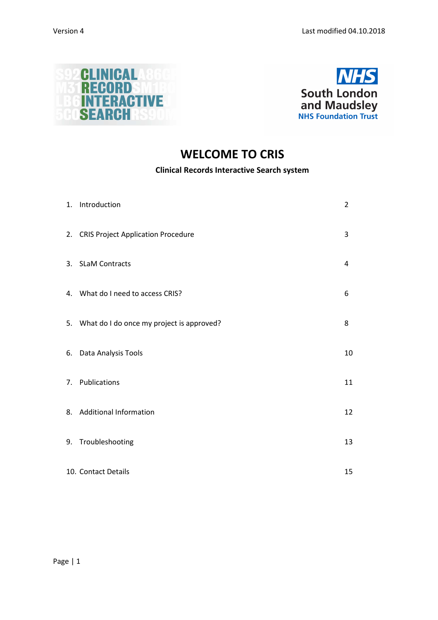



# **WELCOME TO CRIS**

## **Clinical Records Interactive Search system**

| 1. Introduction                              | 2  |
|----------------------------------------------|----|
| 2. CRIS Project Application Procedure        | 3  |
| 3. SLaM Contracts                            | 4  |
| 4. What do I need to access CRIS?            | 6  |
| 5. What do I do once my project is approved? | 8  |
| 6. Data Analysis Tools                       | 10 |
| 7. Publications                              | 11 |
| 8. Additional Information                    | 12 |
| 9. Troubleshooting                           | 13 |
| 10. Contact Details                          | 15 |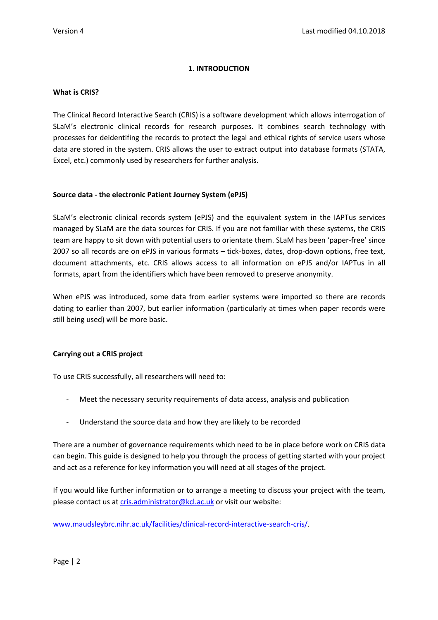## **1. INTRODUCTION**

#### **What is CRIS?**

The Clinical Record Interactive Search (CRIS) is a software development which allows interrogation of SLaM's electronic clinical records for research purposes. It combines search technology with processes for deidentifing the records to protect the legal and ethical rights of service users whose data are stored in the system. CRIS allows the user to extract output into database formats (STATA, Excel, etc.) commonly used by researchers for further analysis.

#### **Source data - the electronic Patient Journey System (ePJS)**

SLaM's electronic clinical records system (ePJS) and the equivalent system in the IAPTus services managed by SLaM are the data sources for CRIS. If you are not familiar with these systems, the CRIS team are happy to sit down with potential users to orientate them. SLaM has been 'paper-free' since 2007 so all records are on ePJS in various formats – tick-boxes, dates, drop-down options, free text, document attachments, etc. CRIS allows access to all information on ePJS and/or IAPTus in all formats, apart from the identifiers which have been removed to preserve anonymity.

When ePJS was introduced, some data from earlier systems were imported so there are records dating to earlier than 2007, but earlier information (particularly at times when paper records were still being used) will be more basic.

## **Carrying out a CRIS project**

To use CRIS successfully, all researchers will need to:

- Meet the necessary security requirements of data access, analysis and publication
- Understand the source data and how they are likely to be recorded

There are a number of governance requirements which need to be in place before work on CRIS data can begin. This guide is designed to help you through the process of getting started with your project and act as a reference for key information you will need at all stages of the project.

If you would like further information or to arrange a meeting to discuss your project with the team, please contact us at cris.administrator@kcl.ac.uk or visit our website:

www.maudsleybrc.nihr.ac.uk/facilities/clinical-record-interactive-search-cris/.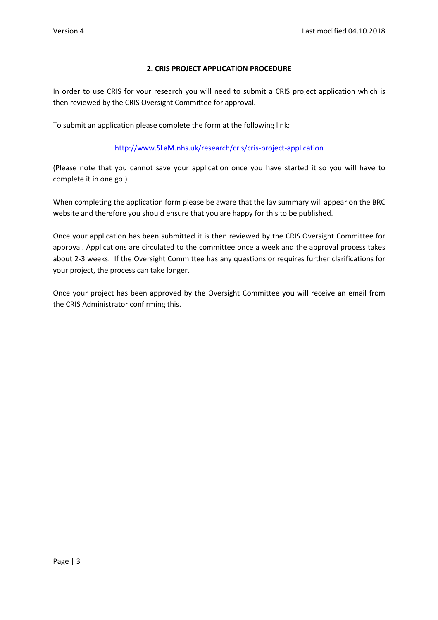## **2. CRIS PROJECT APPLICATION PROCEDURE**

In order to use CRIS for your research you will need to submit a CRIS project application which is then reviewed by the CRIS Oversight Committee for approval.

To submit an application please complete the form at the following link:

## http://www.SLaM.nhs.uk/research/cris/cris-project-application

(Please note that you cannot save your application once you have started it so you will have to complete it in one go.)

When completing the application form please be aware that the lay summary will appear on the BRC website and therefore you should ensure that you are happy for this to be published.

Once your application has been submitted it is then reviewed by the CRIS Oversight Committee for approval. Applications are circulated to the committee once a week and the approval process takes about 2-3 weeks. If the Oversight Committee has any questions or requires further clarifications for your project, the process can take longer.

Once your project has been approved by the Oversight Committee you will receive an email from the CRIS Administrator confirming this.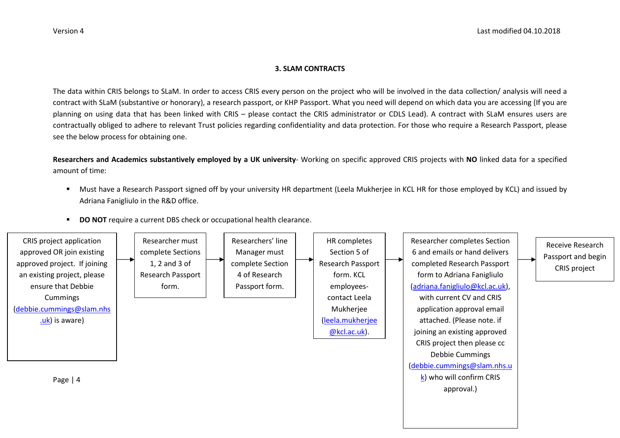#### **3. SLAM CONTRACTS**

The data within CRIS belongs to SLaM. In order to access CRIS every person on the project who will be involved in the data collection/ analysis will need a contract with SLaM (substantive or honorary), a research passport, or KHP Passport. What you need will depend on which data you are accessing (If you are planning on using data that has been linked with CRIS – please contact the CRIS administrator or CDLS Lead). A contract with SLaM ensures users are contractually obliged to adhere to relevant Trust policies regarding confidentiality and data protection. For those who require a Research Passport, please see the below process for obtaining one.

**Researchers and Academics substantively employed by a UK university**- Working on specific approved CRIS projects with **NO** linked data for a specified amount of time:

- $\blacksquare$  Must have a Research Passport signed off by your university HR department (Leela Mukherjee in KCL HR for those employed by KCL) and issued by Adriana Fanigliulo in the R&D office.
- $\blacksquare$ **DO NOT** require a current DBS check or occupational health clearance.

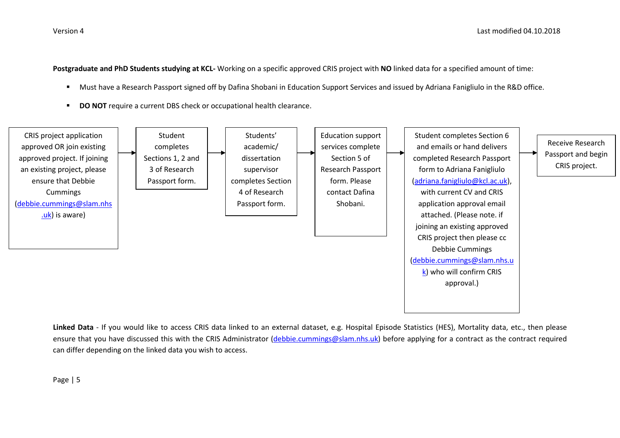**Postgraduate and PhD Students studying at KCL-** Working on a specific approved CRIS project with **NO** linked data for a specified amount of time:

- $\blacksquare$ Must have a Research Passport signed off by Dafina Shobani in Education Support Services and issued by Adriana Fanigliulo in the R&D office.
- $\blacksquare$ **DO NOT** require a current DBS check or occupational health clearance.



**Linked Data** - If you would like to access CRIS data linked to an external dataset, e.g. Hospital Episode Statistics (HES), Mortality data, etc., then please ensure that you have discussed this with the CRIS Administrator (debbie.cummings@slam.nhs.uk) before applying for a contract as the contract required can differ depending on the linked data you wish to access.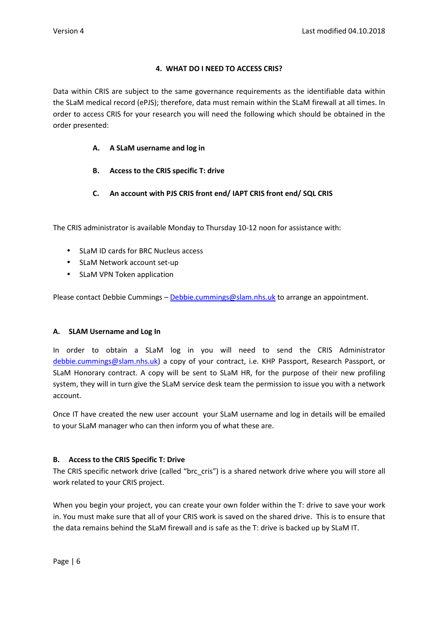## **4. WHAT DO I NEED TO ACCESS CRIS?**

Data within CRIS are subject to the same governance requirements as the identifiable data within the SLaM medical record (ePJS); therefore, data must remain within the SLaM firewall at all times. In order to access CRIS for your research you will need the following which should be obtained in the order presented:

## **A. A SLaM username and log in**

- **B. Access to the CRIS specific T: drive**
- **C. An account with PJS CRIS front end/ IAPT CRIS front end/ SQL CRIS**

The CRIS administrator is available Monday to Thursday 10-12 noon for assistance with:

- SLaM ID cards for BRC Nucleus access
- SLaM Network account set-up
- SLaM VPN Token application

Please contact Debbie Cummings – Debbie.cummings@slam.nhs.uk to arrange an appointment.

## **A. SLAM Username and Log In**

In order to obtain a SLaM log in you will need to send the CRIS Administrator debbie.cummings@slam.nhs.uk) a copy of your contract, i.e. KHP Passport, Research Passport, or SLaM Honorary contract. A copy will be sent to SLaM HR, for the purpose of their new profiling system, they will in turn give the SLaM service desk team the permission to issue you with a network account.

Once IT have created the new user account your SLaM username and log in details will be emailed to your SLaM manager who can then inform you of what these are.

## **B. Access to the CRIS Specific T: Drive**

The CRIS specific network drive (called "brc\_cris") is a shared network drive where you will store all work related to your CRIS project.

When you begin your project, you can create your own folder within the T: drive to save your work in. You must make sure that all of your CRIS work is saved on the shared drive. This is to ensure that the data remains behind the SLaM firewall and is safe as the T: drive is backed up by SLaM IT.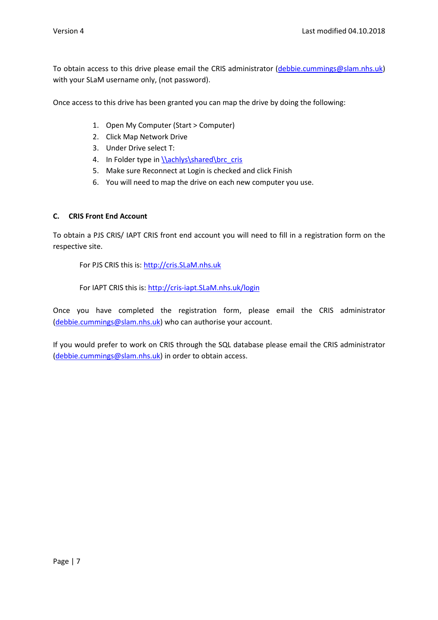To obtain access to this drive please email the CRIS administrator (debbie.cummings@slam.nhs.uk) with your SLaM username only, (not password).

Once access to this drive has been granted you can map the drive by doing the following:

- 1. Open My Computer (Start > Computer)
- 2. Click Map Network Drive
- 3. Under Drive select T:
- 4. In Folder type in \\achlys\shared\brc\_cris
- 5. Make sure Reconnect at Login is checked and click Finish
- 6. You will need to map the drive on each new computer you use.

#### **C. CRIS Front End Account**

To obtain a PJS CRIS/ IAPT CRIS front end account you will need to fill in a registration form on the respective site.

For PJS CRIS this is: http://cris.SLaM.nhs.uk

For IAPT CRIS this is: http://cris-iapt.SLaM.nhs.uk/login

Once you have completed the registration form, please email the CRIS administrator (debbie.cummings@slam.nhs.uk) who can authorise your account.

If you would prefer to work on CRIS through the SQL database please email the CRIS administrator (debbie.cummings@slam.nhs.uk) in order to obtain access.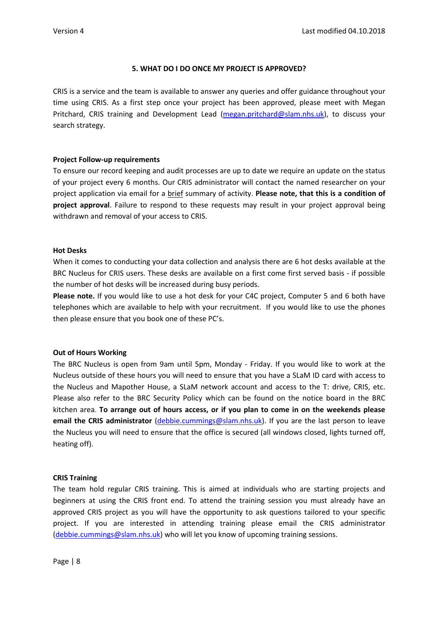## **5. WHAT DO I DO ONCE MY PROJECT IS APPROVED?**

CRIS is a service and the team is available to answer any queries and offer guidance throughout your time using CRIS. As a first step once your project has been approved, please meet with Megan Pritchard, CRIS training and Development Lead (megan.pritchard@slam.nhs.uk), to discuss your search strategy.

#### **Project Follow-up requirements**

To ensure our record keeping and audit processes are up to date we require an update on the status of your project every 6 months. Our CRIS administrator will contact the named researcher on your project application via email for a brief summary of activity. **Please note, that this is a condition of project approval**. Failure to respond to these requests may result in your project approval being withdrawn and removal of your access to CRIS.

#### **Hot Desks**

When it comes to conducting your data collection and analysis there are 6 hot desks available at the BRC Nucleus for CRIS users. These desks are available on a first come first served basis - if possible the number of hot desks will be increased during busy periods.

**Please note.** If you would like to use a hot desk for your C4C project, Computer 5 and 6 both have telephones which are available to help with your recruitment. If you would like to use the phones then please ensure that you book one of these PC's.

#### **Out of Hours Working**

The BRC Nucleus is open from 9am until 5pm, Monday - Friday. If you would like to work at the Nucleus outside of these hours you will need to ensure that you have a SLaM ID card with access to the Nucleus and Mapother House, a SLaM network account and access to the T: drive, CRIS, etc. Please also refer to the BRC Security Policy which can be found on the notice board in the BRC kitchen area. **To arrange out of hours access, or if you plan to come in on the weekends please email the CRIS administrator** (debbie.cummings@slam.nhs.uk). If you are the last person to leave the Nucleus you will need to ensure that the office is secured (all windows closed, lights turned off, heating off).

#### **CRIS Training**

The team hold regular CRIS training. This is aimed at individuals who are starting projects and beginners at using the CRIS front end. To attend the training session you must already have an approved CRIS project as you will have the opportunity to ask questions tailored to your specific project. If you are interested in attending training please email the CRIS administrator (debbie.cummings@slam.nhs.uk) who will let you know of upcoming training sessions.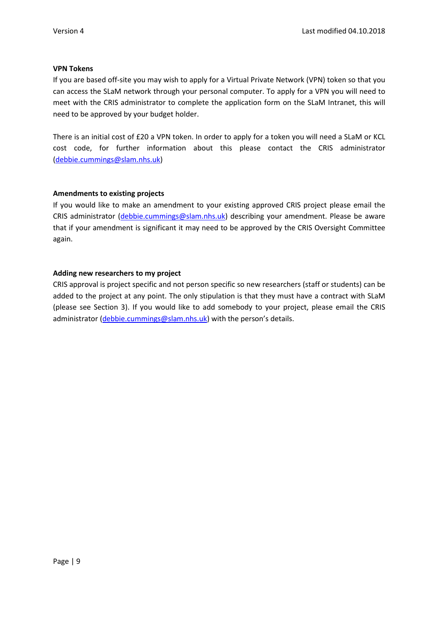#### **VPN Tokens**

If you are based off-site you may wish to apply for a Virtual Private Network (VPN) token so that you can access the SLaM network through your personal computer. To apply for a VPN you will need to meet with the CRIS administrator to complete the application form on the SLaM Intranet, this will need to be approved by your budget holder.

There is an initial cost of £20 a VPN token. In order to apply for a token you will need a SLaM or KCL cost code, for further information about this please contact the CRIS administrator (debbie.cummings@slam.nhs.uk)

## **Amendments to existing projects**

If you would like to make an amendment to your existing approved CRIS project please email the CRIS administrator (debbie.cummings@slam.nhs.uk) describing your amendment. Please be aware that if your amendment is significant it may need to be approved by the CRIS Oversight Committee again.

#### **Adding new researchers to my project**

CRIS approval is project specific and not person specific so new researchers (staff or students) can be added to the project at any point. The only stipulation is that they must have a contract with SLaM (please see Section 3). If you would like to add somebody to your project, please email the CRIS administrator (debbie.cummings@slam.nhs.uk) with the person's details.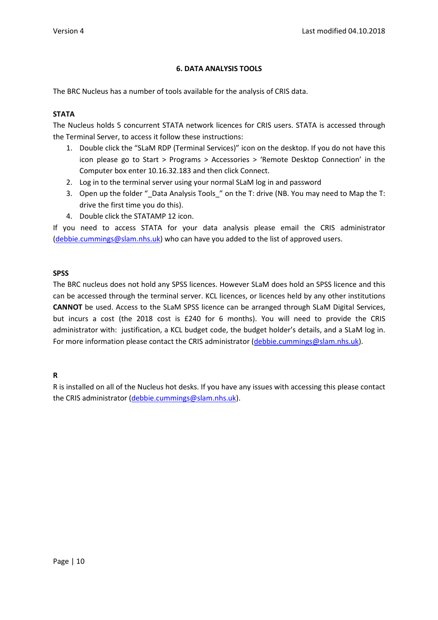## **6. DATA ANALYSIS TOOLS**

The BRC Nucleus has a number of tools available for the analysis of CRIS data.

#### **STATA**

The Nucleus holds 5 concurrent STATA network licences for CRIS users. STATA is accessed through the Terminal Server, to access it follow these instructions:

- 1. Double click the "SLaM RDP (Terminal Services)" icon on the desktop. If you do not have this icon please go to Start > Programs > Accessories > 'Remote Desktop Connection' in the Computer box enter 10.16.32.183 and then click Connect.
- 2. Log in to the terminal server using your normal SLaM log in and password
- 3. Open up the folder " Data Analysis Tools " on the T: drive (NB. You may need to Map the T: drive the first time you do this).
- 4. Double click the STATAMP 12 icon.

If you need to access STATA for your data analysis please email the CRIS administrator (debbie.cummings@slam.nhs.uk) who can have you added to the list of approved users.

#### **SPSS**

The BRC nucleus does not hold any SPSS licences. However SLaM does hold an SPSS licence and this can be accessed through the terminal server. KCL licences, or licences held by any other institutions **CANNOT** be used. Access to the SLaM SPSS licence can be arranged through SLaM Digital Services, but incurs a cost (the 2018 cost is £240 for 6 months). You will need to provide the CRIS administrator with: justification, a KCL budget code, the budget holder's details, and a SLaM log in. For more information please contact the CRIS administrator (debbie.cummings@slam.nhs.uk).

## **R**

R is installed on all of the Nucleus hot desks. If you have any issues with accessing this please contact the CRIS administrator (debbie.cummings@slam.nhs.uk).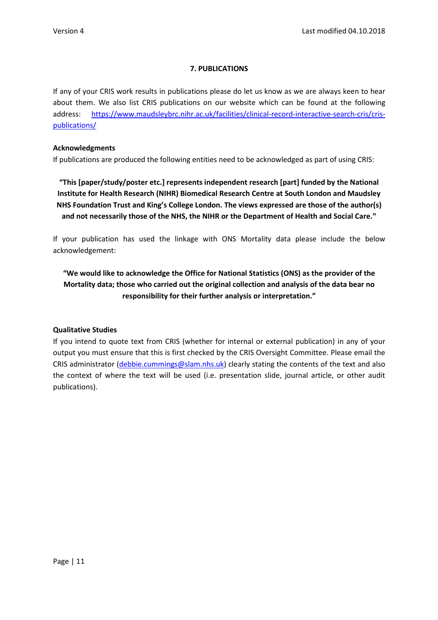## **7. PUBLICATIONS**

If any of your CRIS work results in publications please do let us know as we are always keen to hear about them. We also list CRIS publications on our website which can be found at the following address: https://www.maudsleybrc.nihr.ac.uk/facilities/clinical-record-interactive-search-cris/crispublications/

## **Acknowledgments**

If publications are produced the following entities need to be acknowledged as part of using CRIS:

**"This [paper/study/poster etc.] represents independent research [part] funded by the National Institute for Health Research (NIHR) Biomedical Research Centre at South London and Maudsley NHS Foundation Trust and King's College London. The views expressed are those of the author(s) and not necessarily those of the NHS, the NIHR or the Department of Health and Social Care."**

If your publication has used the linkage with ONS Mortality data please include the below acknowledgement:

**"We would like to acknowledge the Office for National Statistics (ONS) as the provider of the Mortality data; those who carried out the original collection and analysis of the data bear no responsibility for their further analysis or interpretation."**

## **Qualitative Studies**

If you intend to quote text from CRIS (whether for internal or external publication) in any of your output you must ensure that this is first checked by the CRIS Oversight Committee. Please email the CRIS administrator (debbie.cummings@slam.nhs.uk) clearly stating the contents of the text and also the context of where the text will be used (i.e. presentation slide, journal article, or other audit publications).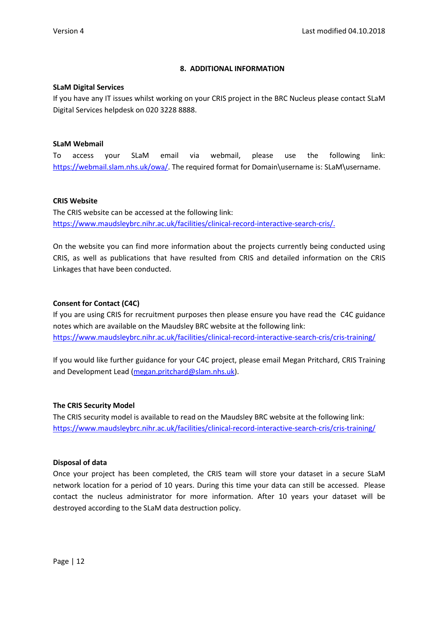## **8. ADDITIONAL INFORMATION**

#### **SLaM Digital Services**

If you have any IT issues whilst working on your CRIS project in the BRC Nucleus please contact SLaM Digital Services helpdesk on 020 3228 8888.

#### **SLaM Webmail**

To access your SLaM email via webmail, please use the following link: https://webmail.slam.nhs.uk/owa/. The required format for Domain\username is: SLaM\username.

#### **CRIS Website**

The CRIS website can be accessed at the following link: https://www.maudsleybrc.nihr.ac.uk/facilities/clinical-record-interactive-search-cris/.

On the website you can find more information about the projects currently being conducted using CRIS, as well as publications that have resulted from CRIS and detailed information on the CRIS Linkages that have been conducted.

## **Consent for Contact (C4C)**

If you are using CRIS for recruitment purposes then please ensure you have read the C4C guidance notes which are available on the Maudsley BRC website at the following link: https://www.maudsleybrc.nihr.ac.uk/facilities/clinical-record-interactive-search-cris/cris-training/

If you would like further guidance for your C4C project, please email Megan Pritchard, CRIS Training and Development Lead (megan.pritchard@slam.nhs.uk).

#### **The CRIS Security Model**

The CRIS security model is available to read on the Maudsley BRC website at the following link: https://www.maudsleybrc.nihr.ac.uk/facilities/clinical-record-interactive-search-cris/cris-training/

#### **Disposal of data**

Once your project has been completed, the CRIS team will store your dataset in a secure SLaM network location for a period of 10 years. During this time your data can still be accessed. Please contact the nucleus administrator for more information. After 10 years your dataset will be destroyed according to the SLaM data destruction policy.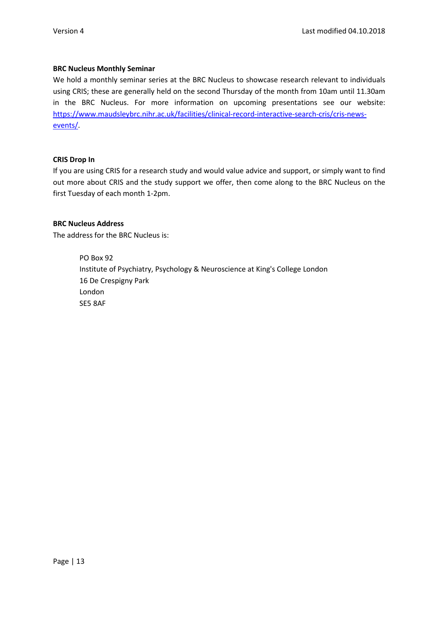#### **BRC Nucleus Monthly Seminar**

We hold a monthly seminar series at the BRC Nucleus to showcase research relevant to individuals using CRIS; these are generally held on the second Thursday of the month from 10am until 11.30am in the BRC Nucleus. For more information on upcoming presentations see our website: https://www.maudsleybrc.nihr.ac.uk/facilities/clinical-record-interactive-search-cris/cris-newsevents/.

## **CRIS Drop In**

If you are using CRIS for a research study and would value advice and support, or simply want to find out more about CRIS and the study support we offer, then come along to the BRC Nucleus on the first Tuesday of each month 1-2pm.

## **BRC Nucleus Address**

The address for the BRC Nucleus is:

 PO Box 92 Institute of Psychiatry, Psychology & Neuroscience at King's College London 16 De Crespigny Park London SE5 8AF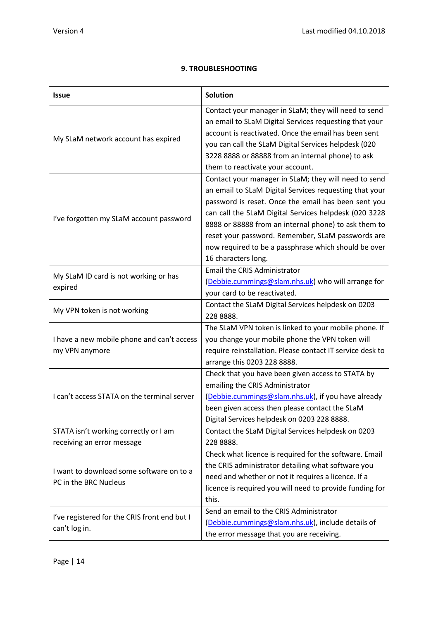|  | <b>9. TROUBLESHOOTING</b> |
|--|---------------------------|
|  |                           |

| <b>Issue</b>                                 | <b>Solution</b>                                           |
|----------------------------------------------|-----------------------------------------------------------|
|                                              | Contact your manager in SLaM; they will need to send      |
|                                              | an email to SLaM Digital Services requesting that your    |
| My SLaM network account has expired          | account is reactivated. Once the email has been sent      |
|                                              | you can call the SLaM Digital Services helpdesk (020      |
|                                              | 3228 8888 or 88888 from an internal phone) to ask         |
|                                              | them to reactivate your account.                          |
|                                              | Contact your manager in SLaM; they will need to send      |
|                                              | an email to SLaM Digital Services requesting that your    |
|                                              | password is reset. Once the email has been sent you       |
|                                              | can call the SLaM Digital Services helpdesk (020 3228     |
| I've forgotten my SLaM account password      | 8888 or 88888 from an internal phone) to ask them to      |
|                                              | reset your password. Remember, SLaM passwords are         |
|                                              | now required to be a passphrase which should be over      |
|                                              | 16 characters long.                                       |
|                                              | <b>Email the CRIS Administrator</b>                       |
| My SLaM ID card is not working or has        | (Debbie.cummings@slam.nhs.uk) who will arrange for        |
| expired                                      | your card to be reactivated.                              |
|                                              | Contact the SLaM Digital Services helpdesk on 0203        |
| My VPN token is not working                  | 228 8888.                                                 |
|                                              | The SLaM VPN token is linked to your mobile phone. If     |
| I have a new mobile phone and can't access   | you change your mobile phone the VPN token will           |
| my VPN anymore                               | require reinstallation. Please contact IT service desk to |
|                                              | arrange this 0203 228 8888.                               |
|                                              | Check that you have been given access to STATA by         |
|                                              | emailing the CRIS Administrator                           |
| I can't access STATA on the terminal server  | (Debbie.cummings@slam.nhs.uk), if you have already        |
|                                              | been given access then please contact the SLaM            |
|                                              | Digital Services helpdesk on 0203 228 8888.               |
| STATA isn't working correctly or I am        | Contact the SLaM Digital Services helpdesk on 0203        |
| receiving an error message                   | 228 8888.                                                 |
|                                              | Check what licence is required for the software. Email    |
|                                              | the CRIS administrator detailing what software you        |
| I want to download some software on to a     | need and whether or not it requires a licence. If a       |
| PC in the BRC Nucleus                        | licence is required you will need to provide funding for  |
|                                              | this.                                                     |
|                                              | Send an email to the CRIS Administrator                   |
| I've registered for the CRIS front end but I | (Debbie.cummings@slam.nhs.uk), include details of         |
| can't log in.                                | the error message that you are receiving.                 |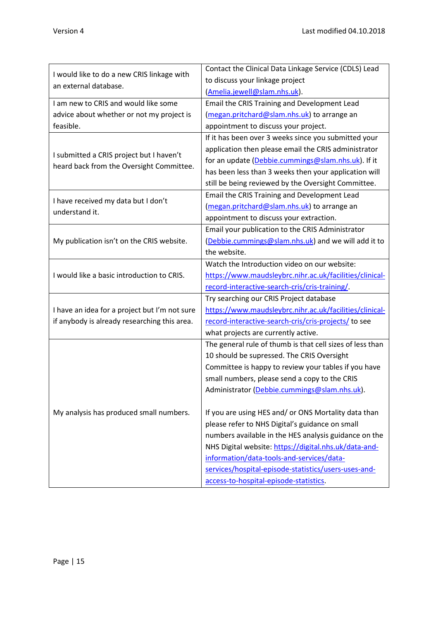|                                                                     | Contact the Clinical Data Linkage Service (CDLS) Lead     |  |
|---------------------------------------------------------------------|-----------------------------------------------------------|--|
| I would like to do a new CRIS linkage with<br>an external database. | to discuss your linkage project                           |  |
|                                                                     | (Amelia.jewell@slam.nhs.uk).                              |  |
| I am new to CRIS and would like some                                | Email the CRIS Training and Development Lead              |  |
| advice about whether or not my project is                           | (megan.pritchard@slam.nhs.uk) to arrange an               |  |
| feasible.                                                           | appointment to discuss your project.                      |  |
|                                                                     | If it has been over 3 weeks since you submitted your      |  |
|                                                                     | application then please email the CRIS administrator      |  |
| I submitted a CRIS project but I haven't                            | for an update (Debbie.cummings@slam.nhs.uk). If it        |  |
| heard back from the Oversight Committee.                            | has been less than 3 weeks then your application will     |  |
|                                                                     | still be being reviewed by the Oversight Committee.       |  |
|                                                                     | Email the CRIS Training and Development Lead              |  |
| I have received my data but I don't                                 | (megan.pritchard@slam.nhs.uk) to arrange an               |  |
| understand it.                                                      | appointment to discuss your extraction.                   |  |
|                                                                     | Email your publication to the CRIS Administrator          |  |
| My publication isn't on the CRIS website.                           | (Debbie.cummings@slam.nhs.uk) and we will add it to       |  |
|                                                                     | the website.                                              |  |
|                                                                     | Watch the Introduction video on our website:              |  |
| I would like a basic introduction to CRIS.                          | https://www.maudsleybrc.nihr.ac.uk/facilities/clinical-   |  |
|                                                                     | record-interactive-search-cris/cris-training/             |  |
|                                                                     | Try searching our CRIS Project database                   |  |
| I have an idea for a project but I'm not sure                       | https://www.maudsleybrc.nihr.ac.uk/facilities/clinical-   |  |
| if anybody is already researching this area.                        | record-interactive-search-cris/cris-projects/ to see      |  |
|                                                                     | what projects are currently active.                       |  |
|                                                                     | The general rule of thumb is that cell sizes of less than |  |
|                                                                     | 10 should be supressed. The CRIS Oversight                |  |
|                                                                     | Committee is happy to review your tables if you have      |  |
|                                                                     | small numbers, please send a copy to the CRIS             |  |
|                                                                     | Administrator (Debbie.cummings@slam.nhs.uk).              |  |
|                                                                     |                                                           |  |
| My analysis has produced small numbers.                             | If you are using HES and/ or ONS Mortality data than      |  |
|                                                                     | please refer to NHS Digital's guidance on small           |  |
|                                                                     | numbers available in the HES analysis guidance on the     |  |
|                                                                     | NHS Digital website: https://digital.nhs.uk/data-and-     |  |
|                                                                     | information/data-tools-and-services/data-                 |  |
|                                                                     | services/hospital-episode-statistics/users-uses-and-      |  |
|                                                                     | access-to-hospital-episode-statistics.                    |  |